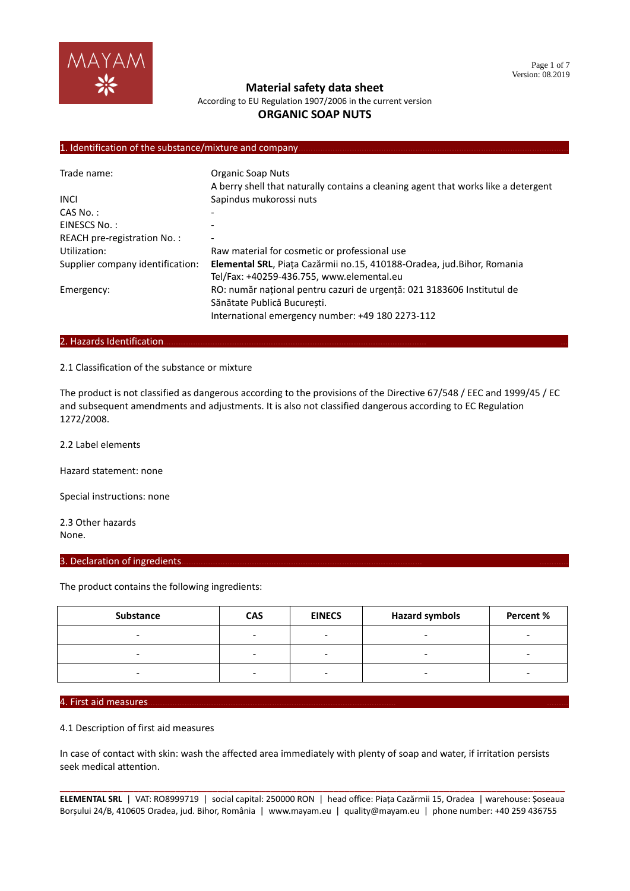

According to EU Regulation 1907/2006 in the current version

## **ORGANIC SOAP NUTS**

# 1. Identification of the substance/mixture and company

| Trade name:                      | Organic Soap Nuts                                                                  |
|----------------------------------|------------------------------------------------------------------------------------|
|                                  | A berry shell that naturally contains a cleaning agent that works like a detergent |
| <b>INCI</b>                      | Sapindus mukorossi nuts                                                            |
| $CAS No.$ :                      |                                                                                    |
| EINESCS No.:                     |                                                                                    |
| REACH pre-registration No.:      |                                                                                    |
| Utilization:                     | Raw material for cosmetic or professional use                                      |
| Supplier company identification: | Elemental SRL, Piața Cazărmii no.15, 410188-Oradea, jud. Bihor, Romania            |
|                                  | Tel/Fax: +40259-436.755, www.elemental.eu                                          |
| Emergency:                       | RO: număr național pentru cazuri de urgență: 021 3183606 Institutul de             |
|                                  | Sănătate Publică Bucuresti.                                                        |
|                                  | International emergency number: +49 180 2273-112                                   |

#### 2. Hazards Identification...

#### 2.1 Classification of the substance or mixture

The product is not classified as dangerous according to the provisions of the Directive 67/548 / EEC and 1999/45 / EC and subsequent amendments and adjustments. It is also not classified dangerous according to EC Regulation 1272/2008.

2.2 Label elements

Hazard statement: none

Special instructions: none

2.3 Other hazards None.

#### 3. Declaration of ingredients.

The product contains the following ingredients:

| <b>Substance</b> | <b>CAS</b> | <b>EINECS</b>            | <b>Hazard symbols</b> | Percent % |
|------------------|------------|--------------------------|-----------------------|-----------|
|                  |            | $\overline{\phantom{0}}$ |                       |           |
|                  |            | -                        |                       |           |
|                  |            | -                        |                       |           |

#### 4. First aid measures………………………………………………………………………………………… ………

#### 4.1 Description of first aid measures

In case of contact with skin: wash the affected area immediately with plenty of soap and water, if irritation persists seek medical attention.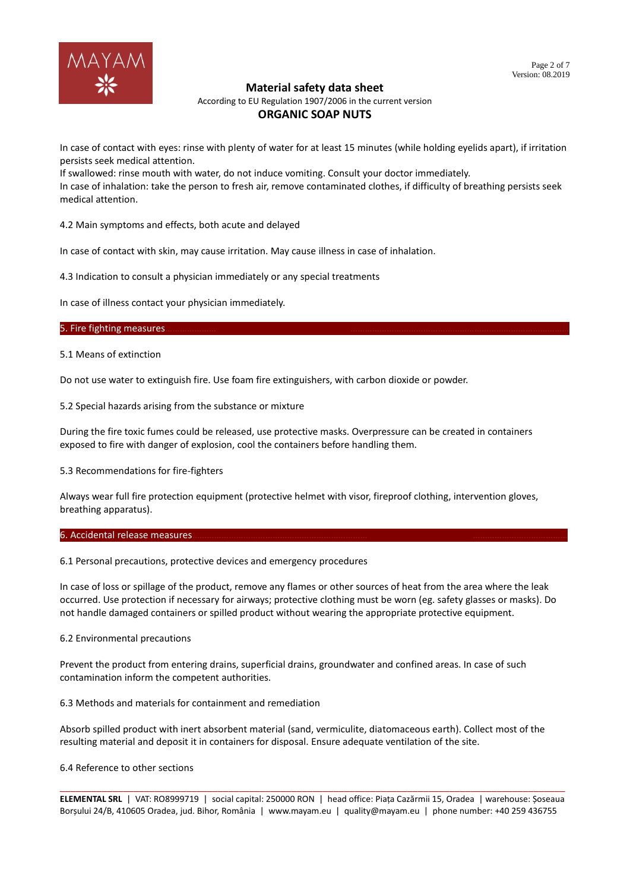

According to EU Regulation 1907/2006 in the current version

# **ORGANIC SOAP NUTS**

In case of contact with eyes: rinse with plenty of water for at least 15 minutes (while holding eyelids apart), if irritation persists seek medical attention.

If swallowed: rinse mouth with water, do not induce vomiting. Consult your doctor immediately. In case of inhalation: take the person to fresh air, remove contaminated clothes, if difficulty of breathing persists seek medical attention.

4.2 Main symptoms and effects, both acute and delayed

In case of contact with skin, may cause irritation. May cause illness in case of inhalation.

4.3 Indication to consult a physician immediately or any special treatments

In case of illness contact your physician immediately.

## 5. Fire fighting measures.

5.1 Means of extinction

Do not use water to extinguish fire. Use foam fire extinguishers, with carbon dioxide or powder.

5.2 Special hazards arising from the substance or mixture

During the fire toxic fumes could be released, use protective masks. Overpressure can be created in containers exposed to fire with danger of explosion, cool the containers before handling them.

5.3 Recommendations for fire-fighters

Always wear full fire protection equipment (protective helmet with visor, fireproof clothing, intervention gloves, breathing apparatus).

#### 6. Accidental release measures.

6.1 Personal precautions, protective devices and emergency procedures

In case of loss or spillage of the product, remove any flames or other sources of heat from the area where the leak occurred. Use protection if necessary for airways; protective clothing must be worn (eg. safety glasses or masks). Do not handle damaged containers or spilled product without wearing the appropriate protective equipment.

## 6.2 Environmental precautions

Prevent the product from entering drains, superficial drains, groundwater and confined areas. In case of such contamination inform the competent authorities.

6.3 Methods and materials for containment and remediation

Absorb spilled product with inert absorbent material (sand, vermiculite, diatomaceous earth). Collect most of the resulting material and deposit it in containers for disposal. Ensure adequate ventilation of the site.

## 6.4 Reference to other sections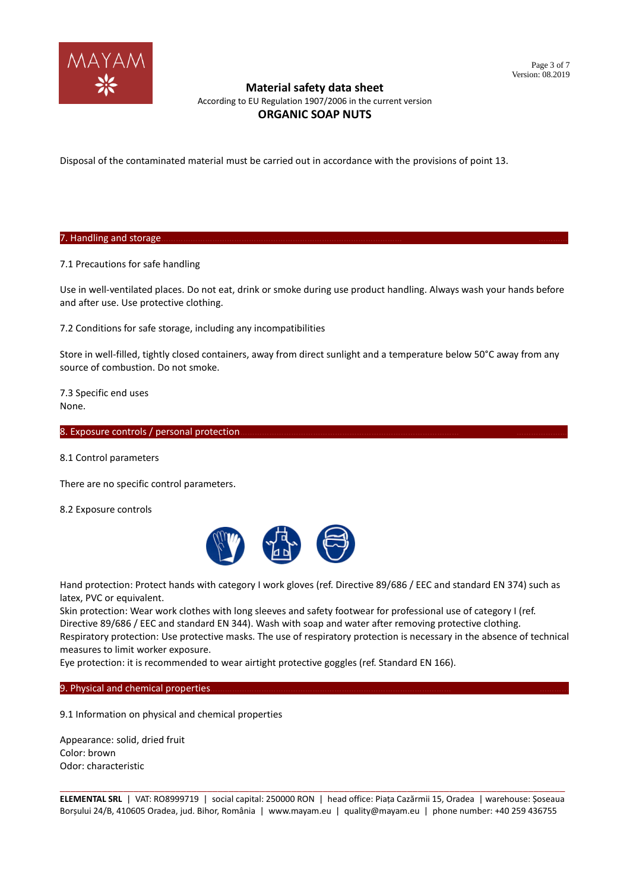

According to EU Regulation 1907/2006 in the current version

# **ORGANIC SOAP NUTS**

Disposal of the contaminated material must be carried out in accordance with the provisions of point 13.

7. Handling and storage.

7.1 Precautions for safe handling

Use in well-ventilated places. Do not eat, drink or smoke during use product handling. Always wash your hands before and after use. Use protective clothing.

7.2 Conditions for safe storage, including any incompatibilities

Store in well-filled, tightly closed containers, away from direct sunlight and a temperature below 50°C away from any source of combustion. Do not smoke.

7.3 Specific end uses None.

8. Exposure controls / personal protection.

8.1 Control parameters

There are no specific control parameters.

8.2 Exposure controls



Hand protection: Protect hands with category I work gloves (ref. Directive 89/686 / EEC and standard EN 374) such as latex, PVC or equivalent.

Skin protection: Wear work clothes with long sleeves and safety footwear for professional use of category I (ref. Directive 89/686 / EEC and standard EN 344). Wash with soap and water after removing protective clothing.

Respiratory protection: Use protective masks. The use of respiratory protection is necessary in the absence of technical measures to limit worker exposure.

Eye protection: it is recommended to wear airtight protective goggles (ref. Standard EN 166).

9. Physical and chemical properties.

9.1 Information on physical and chemical properties

Appearance: solid, dried fruit Color: brown Odor: characteristic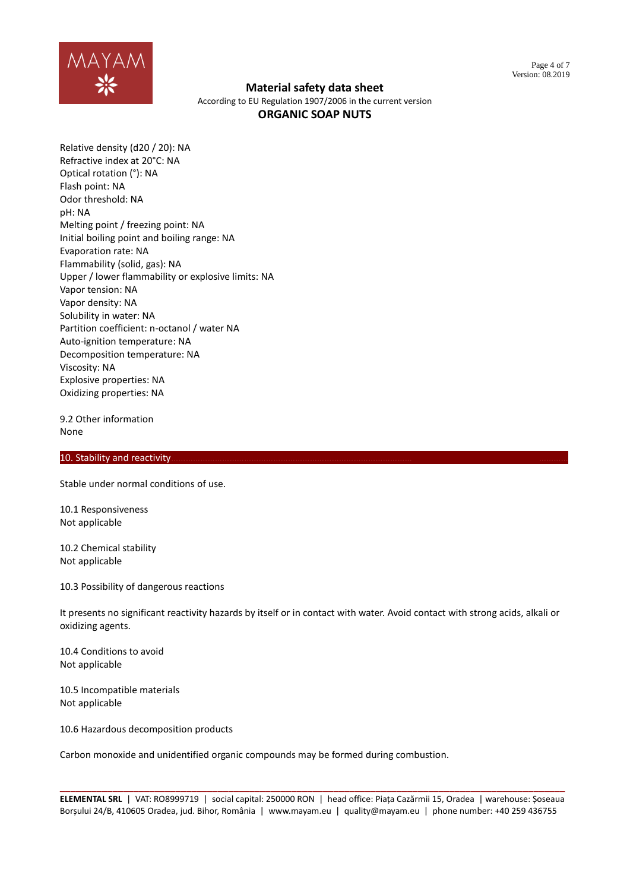

According to EU Regulation 1907/2006 in the current version **ORGANIC SOAP NUTS**

Relative density (d20 / 20): NA Refractive index at 20°C: NA Optical rotation (°): NA Flash point: NA Odor threshold: NA pH: NA Melting point / freezing point: NA Initial boiling point and boiling range: NA Evaporation rate: NA Flammability (solid, gas): NA Upper / lower flammability or explosive limits: NA Vapor tension: NA Vapor density: NA Solubility in water: NA Partition coefficient: n-octanol / water NA Auto-ignition temperature: NA Decomposition temperature: NA Viscosity: NA Explosive properties: NA Oxidizing properties: NA

9.2 Other information None

## 10. Stability and reactivity

Stable under normal conditions of use.

10.1 Responsiveness Not applicable

10.2 Chemical stability Not applicable

10.3 Possibility of dangerous reactions

It presents no significant reactivity hazards by itself or in contact with water. Avoid contact with strong acids, alkali or oxidizing agents.

10.4 Conditions to avoid Not applicable

10.5 Incompatible materials Not applicable

10.6 Hazardous decomposition products

Carbon monoxide and unidentified organic compounds may be formed during combustion.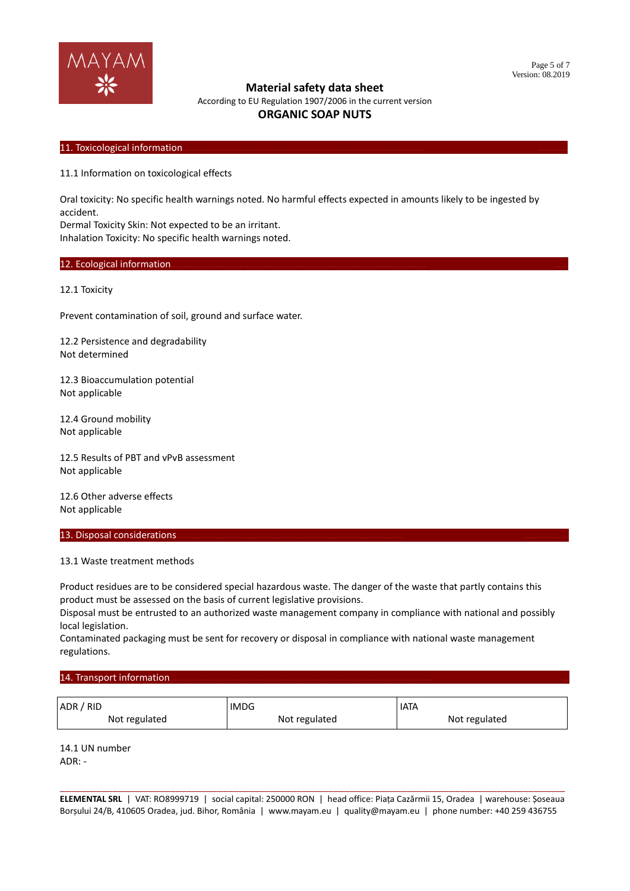

According to EU Regulation 1907/2006 in the current version

# **ORGANIC SOAP NUTS**

## 11. Toxicological information

11.1 Information on toxicological effects

Oral toxicity: No specific health warnings noted. No harmful effects expected in amounts likely to be ingested by accident.

Dermal Toxicity Skin: Not expected to be an irritant.

Inhalation Toxicity: No specific health warnings noted.

#### 12. Ecological information.

12.1 Toxicity

Prevent contamination of soil, ground and surface water.

12.2 Persistence and degradability Not determined

12.3 Bioaccumulation potential Not applicable

12.4 Ground mobility Not applicable

12.5 Results of PBT and vPvB assessment Not applicable

12.6 Other adverse effects Not applicable

#### 13. Disposal considerations.

#### 13.1 Waste treatment methods

Product residues are to be considered special hazardous waste. The danger of the waste that partly contains this product must be assessed on the basis of current legislative provisions.

Disposal must be entrusted to an authorized waste management company in compliance with national and possibly local legislation.

Contaminated packaging must be sent for recovery or disposal in compliance with national waste management regulations.

#### 14. Transport information.

| ADR / RID     | <b>IMDG</b>   | <b>IATA</b>   |
|---------------|---------------|---------------|
| Not regulated | Not regulated | Not regulated |

14.1 UN number  $ADR^T -$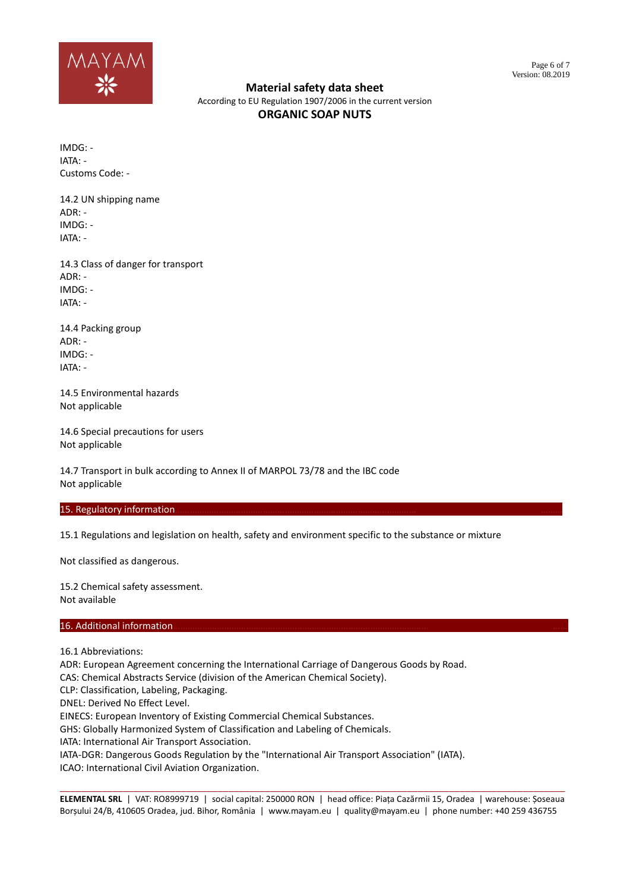

According to EU Regulation 1907/2006 in the current version **ORGANIC SOAP NUTS**

IMDG: - IATA: - Customs Code: -

14.2 UN shipping name  $ADR$  $\cdot$  -IMDG: - IATA: -

14.3 Class of danger for transport ADR: - IMDG: - IATA: -

14.4 Packing group ADR: - IMDG: - IATA: -

14.5 Environmental hazards Not applicable

14.6 Special precautions for users Not applicable

14.7 Transport in bulk according to Annex II of MARPOL 73/78 and the IBC code Not applicable

## 15. Regulatory information

15.1 Regulations and legislation on health, safety and environment specific to the substance or mixture

Not classified as dangerous.

15.2 Chemical safety assessment. Not available

## 16. Additional information

16.1 Abbreviations:

ADR: European Agreement concerning the International Carriage of Dangerous Goods by Road.

CAS: Chemical Abstracts Service (division of the American Chemical Society).

CLP: Classification, Labeling, Packaging.

DNEL: Derived No Effect Level.

EINECS: European Inventory of Existing Commercial Chemical Substances.

GHS: Globally Harmonized System of Classification and Labeling of Chemicals.

IATA: International Air Transport Association.

IATA-DGR: Dangerous Goods Regulation by the "International Air Transport Association" (IATA).

ICAO: International Civil Aviation Organization.